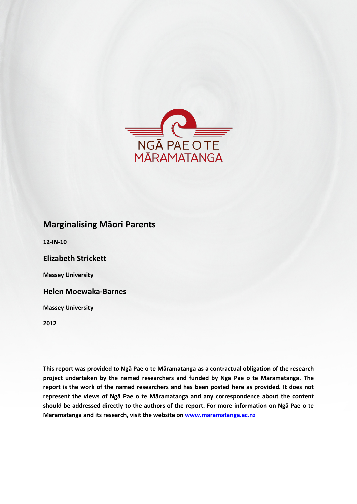

# **Marginalising Māori Parents**

**12-IN-10**

**Elizabeth Strickett**

**Massey University**

**Helen Moewaka-Barnes**

**Massey University**

**2012**

**This report was provided to Ngā Pae o te Māramatanga as a contractual obligation of the research project undertaken by the named researchers and funded by Ngā Pae o te Māramatanga. The report is the work of the named researchers and has been posted here as provided. It does not represent the views of Ngā Pae o te Māramatanga and any correspondence about the content should be addressed directly to the authors of the report. For more information on Ngā Pae o te Māramatanga and its research, visit the website o[n www.maramatanga.ac.nz](http://www.maramatanga.ac.nz/)**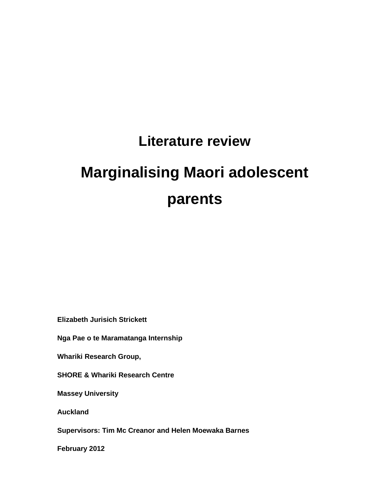# **Literature review**

# **Marginalising Maori adolescent parents**

**Elizabeth Jurisich Strickett**

**Nga Pae o te Maramatanga Internship**

**Whariki Research Group,**

**SHORE & Whariki Research Centre**

**Massey University**

**Auckland**

**Supervisors: Tim Mc Creanor and Helen Moewaka Barnes**

**February 2012**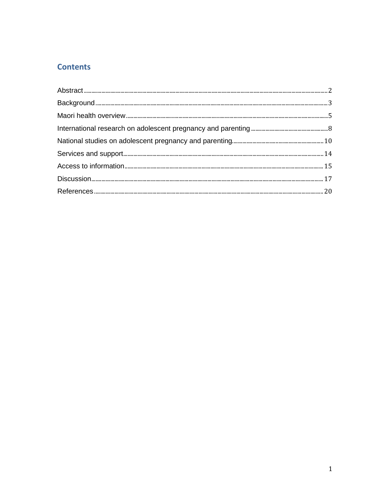# **Contents**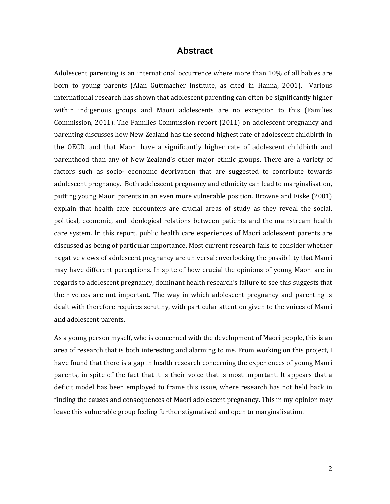#### **Abstract**

<span id="page-4-0"></span>Adolescent parenting is an international occurrence where more than 10% of all babies are born to young parents (Alan Guttmacher Institute, as cited in Hanna, 2001). Various international research has shown that adolescent parenting can often be significantly higher within indigenous groups and Maori adolescents are no exception to this (Families Commission, 2011). The Families Commission report (2011) on adolescent pregnancy and parenting discusses how New Zealand has the second highest rate of adolescent childbirth in the OECD, and that Maori have a significantly higher rate of adolescent childbirth and parenthood than any of New Zealand's other major ethnic groups. There are a variety of factors such as socio- economic deprivation that are suggested to contribute towards adolescent pregnancy. Both adolescent pregnancy and ethnicity can lead to marginalisation, putting young Maori parents in an even more vulnerable position. Browne and Fiske (2001) explain that health care encounters are crucial areas of study as they reveal the social, political, economic, and ideological relations between patients and the mainstream health care system. In this report, public health care experiences of Maori adolescent parents are discussed as being of particular importance. Most current research fails to consider whether negative views of adolescent pregnancy are universal; overlooking the possibility that Maori may have different perceptions. In spite of how crucial the opinions of young Maori are in regards to adolescent pregnancy, dominant health research's failure to see this suggests that their voices are not important. The way in which adolescent pregnancy and parenting is dealt with therefore requires scrutiny, with particular attention given to the voices of Maori and adolescent parents.

As a young person myself, who is concerned with the development of Maori people, this is an area of research that is both interesting and alarming to me. From working on this project, I have found that there is a gap in health research concerning the experiences of young Maori parents, in spite of the fact that it is their voice that is most important. It appears that a deficit model has been employed to frame this issue, where research has not held back in finding the causes and consequences of Maori adolescent pregnancy. This in my opinion may leave this vulnerable group feeling further stigmatised and open to marginalisation.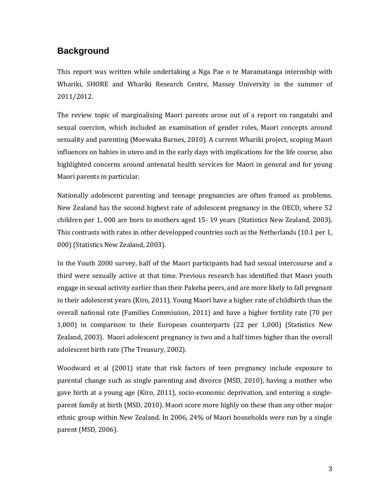# <span id="page-5-0"></span>**Background**

This report was written while undertaking a Nga Pae o te Maramatanga internship with Whariki, SHORE and Whariki Research Centre, Massey University in the summer of 2011/2012.

The review topic of marginalising Maori parents arose out of a report on rangatahi and sexual coercion, which included an examination of gender roles, Maori concepts around sexuality and parenting (Moewaka Barnes, 2010). A current Whariki project, scoping Maori influences on babies in utero and in the early days with implications for the life course, also highlighted concerns around antenatal health services for Maori in general and for young Maori parents in particular.

Nationally adolescent parenting and teenage pregnancies are often framed as problems. New Zealand has the second highest rate of adolescent pregnancy in the OECD, where 52 children per 1, 000 are born to mothers aged 15- 19 years (Statistics New Zealand, 2003). This contrasts with rates in other developped countries such as the Netherlands (10.1 per 1, 000) (Statistics New Zealand, 2003).

In the Youth 2000 survey, half of the Maori participants had had sexual intercourse and a third were sexually active at that time. Previous research has identified that Maori youth engage in sexual activity earlier than their Pakeha peers, and are more likely to fall pregnant in their adolescent years (Kiro, 2011). Young Maori have a higher rate of childbirth than the overall national rate (Families Commission, 2011) and have a higher fertility rate (70 per 1,000) in comparison to their European counterparts (22 per 1,000) (Statistics New Zealand, 2003). Maori adolescent pregnancy is two and a half times higher than the overall adolescent birth rate (The Treasury, 2002).

Woodward et al (2001) state that risk factors of teen pregnancy include exposure to parental change such as single parenting and divorce (MSD, 2010), having a mother who gave birth at a young age (Kiro, 2011), socio-economic deprivation, and entering a singleparent family at birth (MSD, 2010). Maori score more highly on these than any other major ethnic group within New Zealand. In 2006, 24% of Maori households were run by a single parent (MSD, 2006).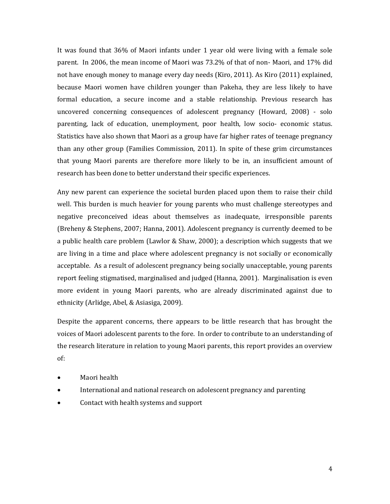It was found that 36% of Maori infants under 1 year old were living with a female sole parent. In 2006, the mean income of Maori was 73.2% of that of non- Maori, and 17% did not have enough money to manage every day needs (Kiro, 2011). As Kiro (2011) explained, because Maori women have children younger than Pakeha, they are less likely to have formal education, a secure income and a stable relationship. Previous research has uncovered concerning consequences of adolescent pregnancy (Howard, 2008) - solo parenting, lack of education, unemployment, poor health, low socio- economic status. Statistics have also shown that Maori as a group have far higher rates of teenage pregnancy than any other group (Families Commission, 2011). In spite of these grim circumstances that young Maori parents are therefore more likely to be in, an insufficient amount of research has been done to better understand their specific experiences.

Any new parent can experience the societal burden placed upon them to raise their child well. This burden is much heavier for young parents who must challenge stereotypes and negative preconceived ideas about themselves as inadequate, irresponsible parents (Breheny & Stephens, 2007; Hanna, 2001). Adolescent pregnancy is currently deemed to be a public health care problem (Lawlor & Shaw, 2000); a description which suggests that we are living in a time and place where adolescent pregnancy is not socially or economically acceptable. As a result of adolescent pregnancy being socially unacceptable, young parents report feeling stigmatised, marginalised and judged (Hanna, 2001). Marginalisation is even more evident in young Maori parents, who are already discriminated against due to ethnicity (Arlidge, Abel, & Asiasiga, 2009).

Despite the apparent concerns, there appears to be little research that has brought the voices of Maori adolescent parents to the fore. In order to contribute to an understanding of the research literature in relation to young Maori parents, this report provides an overview of:

- Maori health
- International and national research on adolescent pregnancy and parenting
- Contact with health systems and support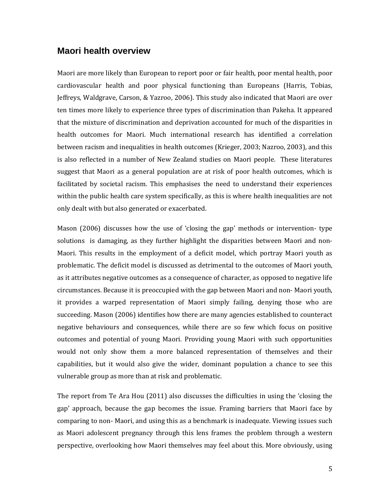#### <span id="page-7-0"></span>**Maori health overview**

Maori are more likely than European to report poor or fair health, poor mental health, poor cardiovascular health and poor physical functioning than Europeans (Harris, Tobias, Jeffreys, Waldgrave, Carson, & Yazroo, 2006). This study also indicated that Maori are over ten times more likely to experience three types of discrimination than Pakeha. It appeared that the mixture of discrimination and deprivation accounted for much of the disparities in health outcomes for Maori. Much international research has identified a correlation between racism and inequalities in health outcomes (Krieger, 2003; Nazroo, 2003), and this is also reflected in a number of New Zealand studies on Maori people. These literatures suggest that Maori as a general population are at risk of poor health outcomes, which is facilitated by societal racism. This emphasises the need to understand their experiences within the public health care system specifically, as this is where health inequalities are not only dealt with but also generated or exacerbated.

Mason (2006) discusses how the use of 'closing the gap' methods or intervention- type solutions is damaging, as they further highlight the disparities between Maori and non-Maori. This results in the employment of a deficit model, which portray Maori youth as problematic. The deficit model is discussed as detrimental to the outcomes of Maori youth, as it attributes negative outcomes as a consequence of character, as opposed to negative life circumstances. Because it is preoccupied with the gap between Maori and non- Maori youth, it provides a warped representation of Maori simply failing, denying those who are succeeding. Mason (2006) identifies how there are many agencies established to counteract negative behaviours and consequences, while there are so few which focus on positive outcomes and potential of young Maori. Providing young Maori with such opportunities would not only show them a more balanced representation of themselves and their capabilities, but it would also give the wider, dominant population a chance to see this vulnerable group as more than at risk and problematic.

The report from Te Ara Hou (2011) also discusses the difficulties in using the 'closing the gap' approach, because the gap becomes the issue. Framing barriers that Maori face by comparing to non- Maori, and using this as a benchmark is inadequate. Viewing issues such as Maori adolescent pregnancy through this lens frames the problem through a western perspective, overlooking how Maori themselves may feel about this. More obviously, using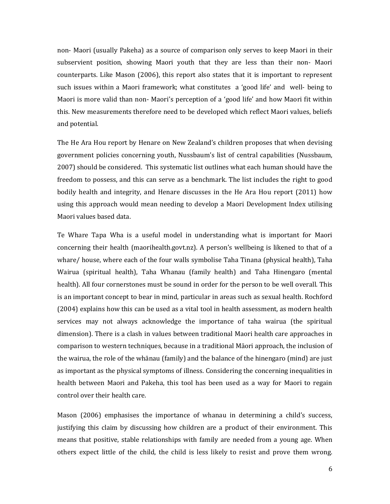non- Maori (usually Pakeha) as a source of comparison only serves to keep Maori in their subservient position, showing Maori youth that they are less than their non- Maori counterparts. Like Mason (2006), this report also states that it is important to represent such issues within a Maori framework; what constitutes a 'good life' and well- being to Maori is more valid than non- Maori's perception of a 'good life' and how Maori fit within this. New measurements therefore need to be developed which reflect Maori values, beliefs and potential.

The He Ara Hou report by Henare on New Zealand's children proposes that when devising government policies concerning youth, Nussbaum's list of central capabilities (Nussbaum, 2007) should be considered. This systematic list outlines what each human should have the freedom to possess, and this can serve as a benchmark. The list includes the right to good bodily health and integrity, and Henare discusses in the He Ara Hou report (2011) how using this approach would mean needing to develop a Maori Development Index utilising Maori values based data.

Te Whare Tapa Wha is a useful model in understanding what is important for Maori concerning their health (maorihealth.govt.nz). A person's wellbeing is likened to that of a whare/ house, where each of the four walls symbolise Taha Tinana (physical health), Taha Wairua (spiritual health), Taha Whanau (family health) and Taha Hinengaro (mental health). All four cornerstones must be sound in order for the person to be well overall. This is an important concept to bear in mind, particular in areas such as sexual health. Rochford (2004) explains how this can be used as a vital tool in health assessment, as modern health services may not always acknowledge the importance of taha wairua (the spiritual dimension). There is a clash in values between traditional Maori health care approaches in comparison to western techniques, because in a traditional Māori approach, the inclusion of the wairua, the role of the whānau (family) and the balance of the hinengaro (mind) are just as important as the physical symptoms of illness. Considering the concerning inequalities in health between Maori and Pakeha, this tool has been used as a way for Maori to regain control over their health care.

Mason (2006) emphasises the importance of whanau in determining a child's success, justifying this claim by discussing how children are a product of their environment. This means that positive, stable relationships with family are needed from a young age. When others expect little of the child, the child is less likely to resist and prove them wrong.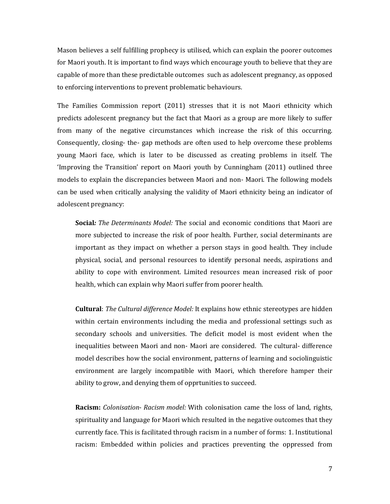Mason believes a self fulfilling prophecy is utilised, which can explain the poorer outcomes for Maori youth. It is important to find ways which encourage youth to believe that they are capable of more than these predictable outcomes such as adolescent pregnancy, as opposed to enforcing interventions to prevent problematic behaviours.

The Families Commission report (2011) stresses that it is not Maori ethnicity which predicts adolescent pregnancy but the fact that Maori as a group are more likely to suffer from many of the negative circumstances which increase the risk of this occurring. Consequently, closing- the- gap methods are often used to help overcome these problems young Maori face, which is later to be discussed as creating problems in itself. The 'Improving the Transition' report on Maori youth by Cunningham (2011) outlined three models to explain the discrepancies between Maori and non- Maori. The following models can be used when critically analysing the validity of Maori ethnicity being an indicator of adolescent pregnancy:

**Social***: The Determinants Model:* The social and economic conditions that Maori are more subjected to increase the risk of poor health. Further, social determinants are important as they impact on whether a person stays in good health. They include physical, social, and personal resources to identify personal needs, aspirations and ability to cope with environment. Limited resources mean increased risk of poor health, which can explain why Maori suffer from poorer health.

**Cultural**: *The Cultural difference Model:* It explains how ethnic stereotypes are hidden within certain environments including the media and professional settings such as secondary schools and universities. The deficit model is most evident when the inequalities between Maori and non- Maori are considered. The cultural- difference model describes how the social environment, patterns of learning and sociolinguistic environment are largely incompatible with Maori, which therefore hamper their ability to grow, and denying them of opprtunities to succeed.

**Racism:** *Colonisation*- *Racism model:* With colonisation came the loss of land, rights, spirituality and language for Maori which resulted in the negative outcomes that they currently face. This is facilitated through racism in a number of forms: 1. Institutional racism: Embedded within policies and practices preventing the oppressed from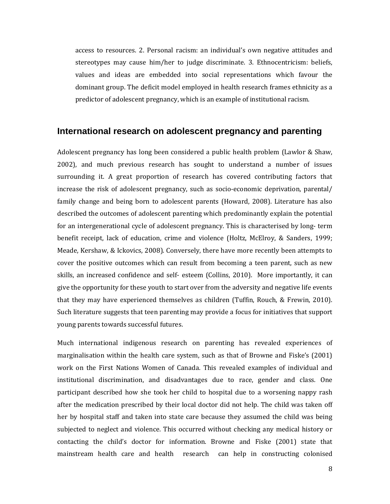access to resources. 2. Personal racism: an individual's own negative attitudes and stereotypes may cause him/her to judge discriminate. 3. Ethnocentricism: beliefs, values and ideas are embedded into social representations which favour the dominant group. The deficit model employed in health research frames ethnicity as a predictor of adolescent pregnancy, which is an example of institutional racism.

#### <span id="page-10-0"></span>**International research on adolescent pregnancy and parenting**

Adolescent pregnancy has long been considered a public health problem (Lawlor & Shaw, 2002), and much previous research has sought to understand a number of issues surrounding it. A great proportion of research has covered contributing factors that increase the risk of adolescent pregnancy, such as socio-economic deprivation, parental/ family change and being born to adolescent parents (Howard, 2008). Literature has also described the outcomes of adolescent parenting which predominantly explain the potential for an intergenerational cycle of adolescent pregnancy. This is characterised by long- term benefit receipt, lack of education, crime and violence (Holtz, McElroy, & Sanders, 1999; Meade, Kershaw, & Ickovics, 2008). Conversely, there have more recently been attempts to cover the positive outcomes which can result from becoming a teen parent, such as new skills, an increased confidence and self- esteem (Collins, 2010). More importantly, it can give the opportunity for these youth to start over from the adversity and negative life events that they may have experienced themselves as children (Tuffin, Rouch, & Frewin, 2010). Such literature suggests that teen parenting may provide a focus for initiatives that support young parents towards successful futures.

Much international indigenous research on parenting has revealed experiences of marginalisation within the health care system, such as that of Browne and Fiske's (2001) work on the First Nations Women of Canada. This revealed examples of individual and institutional discrimination, and disadvantages due to race, gender and class. One participant described how she took her child to hospital due to a worsening nappy rash after the medication prescribed by their local doctor did not help. The child was taken off her by hospital staff and taken into state care because they assumed the child was being subjected to neglect and violence. This occurred without checking any medical history or contacting the child's doctor for information. Browne and Fiske (2001) state that mainstream health care and health research can help in constructing colonised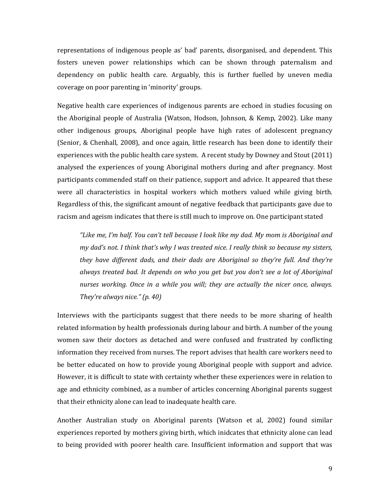representations of indigenous people as' bad' parents, disorganised, and dependent. This fosters uneven power relationships which can be shown through paternalism and dependency on public health care. Arguably, this is further fuelled by uneven media coverage on poor parenting in 'minority' groups.

Negative health care experiences of indigenous parents are echoed in studies focusing on the Aboriginal people of Australia (Watson, Hodson, Johnson, & Kemp, 2002). Like many other indigenous groups, Aboriginal people have high rates of adolescent pregnancy (Senior, & Chenhall, 2008), and once again, little research has been done to identify their experiences with the public health care system. A recent study by Downey and Stout (2011) analysed the experiences of young Aboriginal mothers during and after pregnancy. Most participants commended staff on their patience, support and advice. It appeared that these were all characteristics in hospital workers which mothers valued while giving birth. Regardless of this, the significant amount of negative feedback that participants gave due to racism and ageism indicates that there is still much to improve on. One participant stated

*"Like me, I'm half. You can't tell because I look like my dad. My mom is Aboriginal and my dad's not. I think that's why I was treated nice. I really think so because my sisters, they have different dads, and their dads are Aboriginal so they're full. And they're always treated bad. It depends on who you get but you don't see a lot of Aboriginal nurses working. Once in a while you will; they are actually the nicer once, always. They're always nice." (p. 40)*

Interviews with the participants suggest that there needs to be more sharing of health related information by health professionals during labour and birth. A number of the young women saw their doctors as detached and were confused and frustrated by conflicting information they received from nurses. The report advises that health care workers need to be better educated on how to provide young Aboriginal people with support and advice. However, it is difficult to state with certainty whether these experiences were in relation to age and ethnicity combined, as a number of articles concerning Aboriginal parents suggest that their ethnicity alone can lead to inadequate health care.

Another Australian study on Aboriginal parents (Watson et al, 2002) found similar experiences reported by mothers giving birth, which inidcates that ethnicity alone can lead to being provided with poorer health care. Insufficient information and support that was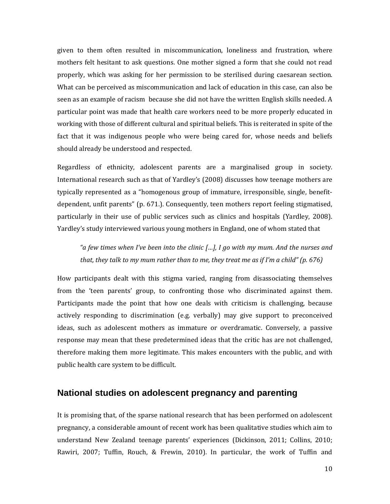given to them often resulted in miscommunication, loneliness and frustration, where mothers felt hesitant to ask questions. One mother signed a form that she could not read properly, which was asking for her permission to be sterilised during caesarean section. What can be perceived as miscommunication and lack of education in this case, can also be seen as an example of racism because she did not have the written English skills needed. A particular point was made that health care workers need to be more properly educated in working with those of different cultural and spiritual beliefs. This is reiterated in spite of the fact that it was indigenous people who were being cared for, whose needs and beliefs should already be understood and respected.

Regardless of ethnicity, adolescent parents are a marginalised group in society. International research such as that of Yardley's (2008) discusses how teenage mothers are typically represented as a "homogenous group of immature, irresponsible, single, benefitdependent, unfit parents" (p. 671.). Consequently, teen mothers report feeling stigmatised, particularly in their use of public services such as clinics and hospitals (Yardley, 2008). Yardley's study interviewed various young mothers in England, one of whom stated that

*"a few times when I've been into the clinic […], I go with my mum. And the nurses and that, they talk to my mum rather than to me, they treat me as if I'm a child" (p. 676)*

How participants dealt with this stigma varied, ranging from disassociating themselves from the 'teen parents' group, to confronting those who discriminated against them. Participants made the point that how one deals with criticism is challenging, because actively responding to discrimination (e.g. verbally) may give support to preconceived ideas, such as adolescent mothers as immature or overdramatic. Conversely, a passive response may mean that these predetermined ideas that the critic has are not challenged, therefore making them more legitimate. This makes encounters with the public, and with public health care system to be difficult.

### <span id="page-12-0"></span>**National studies on adolescent pregnancy and parenting**

It is promising that, of the sparse national research that has been performed on adolescent pregnancy, a considerable amount of recent work has been qualitative studies which aim to understand New Zealand teenage parents' experiences (Dickinson, 2011; Collins, 2010; Rawiri, 2007; Tuffin, Rouch, & Frewin, 2010). In particular, the work of Tuffin and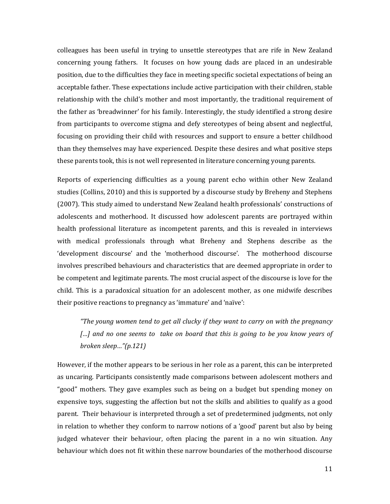colleagues has been useful in trying to unsettle stereotypes that are rife in New Zealand concerning young fathers. It focuses on how young dads are placed in an undesirable position, due to the difficulties they face in meeting specific societal expectations of being an acceptable father. These expectations include active participation with their children, stable relationship with the child's mother and most importantly, the traditional requirement of the father as 'breadwinner' for his family. Interestingly, the study identified a strong desire from participants to overcome stigma and defy stereotypes of being absent and neglectful, focusing on providing their child with resources and support to ensure a better childhood than they themselves may have experienced. Despite these desires and what positive steps these parents took, this is not well represented in literature concerning young parents.

Reports of experiencing difficulties as a young parent echo within other New Zealand studies (Collins, 2010) and this is supported by a discourse study by Breheny and Stephens (2007). This study aimed to understand New Zealand health professionals' constructions of adolescents and motherhood. It discussed how adolescent parents are portrayed within health professional literature as incompetent parents, and this is revealed in interviews with medical professionals through what Breheny and Stephens describe as the 'development discourse' and the 'motherhood discourse'. The motherhood discourse involves prescribed behaviours and characteristics that are deemed appropriate in order to be competent and legitimate parents. The most crucial aspect of the discourse is love for the child. This is a paradoxical situation for an adolescent mother, as one midwife describes their positive reactions to pregnancy as 'immature' and 'naïve':

*"The young women tend to get all clucky if they want to carry on with the pregnancy*  [...] and no one seems to take on board that this is going to be you know years of *broken sleep…"(p.121)*

However, if the mother appears to be serious in her role as a parent, this can be interpreted as uncaring. Participants consistently made comparisons between adolescent mothers and "good" mothers. They gave examples such as being on a budget but spending money on expensive toys, suggesting the affection but not the skills and abilities to qualify as a good parent. Their behaviour is interpreted through a set of predetermined judgments, not only in relation to whether they conform to narrow notions of a 'good' parent but also by being judged whatever their behaviour, often placing the parent in a no win situation. Any behaviour which does not fit within these narrow boundaries of the motherhood discourse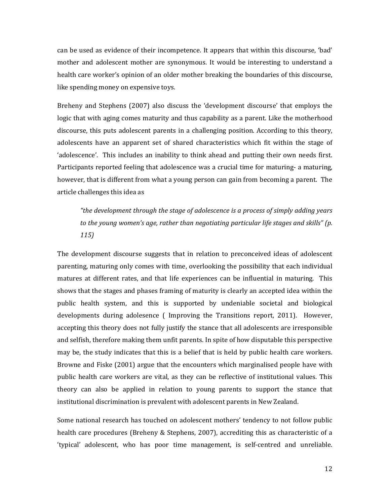can be used as evidence of their incompetence. It appears that within this discourse, 'bad' mother and adolescent mother are synonymous. It would be interesting to understand a health care worker's opinion of an older mother breaking the boundaries of this discourse, like spending money on expensive toys.

Breheny and Stephens (2007) also discuss the 'development discourse' that employs the logic that with aging comes maturity and thus capability as a parent. Like the motherhood discourse, this puts adolescent parents in a challenging position. According to this theory, adolescents have an apparent set of shared characteristics which fit within the stage of 'adolescence'. This includes an inability to think ahead and putting their own needs first. Participants reported feeling that adolescence was a crucial time for maturing- a maturing, however, that is different from what a young person can gain from becoming a parent. The article challenges this idea as

*"the development through the stage of adolescence is a process of simply adding years to the young women's age, rather than negotiating particular life stages and skills" (p. 115)*

The development discourse suggests that in relation to preconceived ideas of adolescent parenting, maturing only comes with time, overlooking the possibility that each individual matures at different rates, and that life experiences can be influential in maturing. This shows that the stages and phases framing of maturity is clearly an accepted idea within the public health system, and this is supported by undeniable societal and biological developments during adolesence ( Improving the Transitions report, 2011). However, accepting this theory does not fully justify the stance that all adolescents are irresponsible and selfish, therefore making them unfit parents. In spite of how disputable this perspective may be, the study indicates that this is a belief that is held by public health care workers. Browne and Fiske (2001) argue that the encounters which marginalised people have with public health care workers are vital, as they can be reflective of institutional values. This theory can also be applied in relation to young parents to support the stance that institutional discrimination is prevalent with adolescent parents in New Zealand.

Some national research has touched on adolescent mothers' tendency to not follow public health care procedures (Breheny & Stephens, 2007), accrediting this as characteristic of a 'typical' adolescent, who has poor time management, is self-centred and unreliable.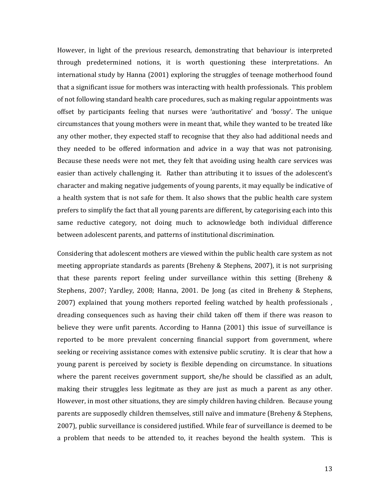However, in light of the previous research, demonstrating that behaviour is interpreted through predetermined notions, it is worth questioning these interpretations. An international study by Hanna (2001) exploring the struggles of teenage motherhood found that a significant issue for mothers was interacting with health professionals. This problem of not following standard health care procedures, such as making regular appointments was offset by participants feeling that nurses were 'authoritative' and 'bossy'. The unique circumstances that young mothers were in meant that, while they wanted to be treated like any other mother, they expected staff to recognise that they also had additional needs and they needed to be offered information and advice in a way that was not patronising. Because these needs were not met, they felt that avoiding using health care services was easier than actively challenging it. Rather than attributing it to issues of the adolescent's character and making negative judgements of young parents, it may equally be indicative of a health system that is not safe for them. It also shows that the public health care system prefers to simplify the fact that all young parents are different, by categorising each into this same reductive category, not doing much to acknowledge both individual difference between adolescent parents, and patterns of institutional discrimination.

Considering that adolescent mothers are viewed within the public health care system as not meeting appropriate standards as parents (Breheny & Stephens, 2007), it is not surprising that these parents report feeling under surveillance within this setting (Breheny & Stephens, 2007; Yardley, 2008; Hanna, 2001. De Jong (as cited in Breheny & Stephens, 2007) explained that young mothers reported feeling watched by health professionals , dreading consequences such as having their child taken off them if there was reason to believe they were unfit parents. According to Hanna (2001) this issue of surveillance is reported to be more prevalent concerning financial support from government, where seeking or receiving assistance comes with extensive public scrutiny. It is clear that how a young parent is perceived by society is flexible depending on circumstance. In situations where the parent receives government support, she/he should be classified as an adult, making their struggles less legitmate as they are just as much a parent as any other. However, in most other situations, they are simply children having children. Because young parents are supposedly children themselves, still naïve and immature (Breheny & Stephens, 2007), public surveillance is considered justified. While fear of surveillance is deemed to be a problem that needs to be attended to, it reaches beyond the health system. This is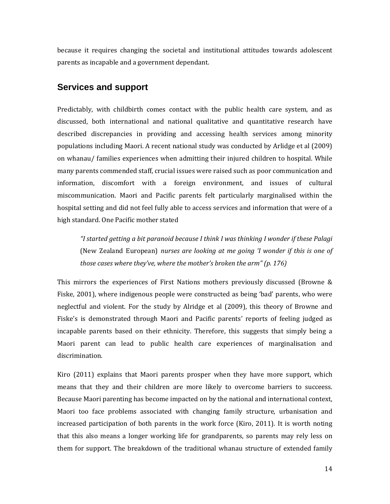because it requires changing the societal and institutional attitudes towards adolescent parents as incapable and a government dependant.

# <span id="page-16-0"></span>**Services and support**

Predictably, with childbirth comes contact with the public health care system, and as discussed, both international and national qualitative and quantitative research have described discrepancies in providing and accessing health services among minority populations including Maori. A recent national study was conducted by Arlidge et al (2009) on whanau/ families experiences when admitting their injured children to hospital. While many parents commended staff, crucial issues were raised such as poor communication and information, discomfort with a foreign environment, and issues of cultural miscommunication. Maori and Pacific parents felt particularly marginalised within the hospital setting and did not feel fully able to access services and information that were of a high standard. One Pacific mother stated

*"I started getting a bit paranoid because I think I was thinking I wonder if these Palagi*  (New Zealand European) *nurses are looking at me going 'I wonder if this is one of those cases where they've, where the mother's broken the arm" (p. 176)*

This mirrors the experiences of First Nations mothers previously discussed (Browne & Fiske, 2001), where indigenous people were constructed as being 'bad' parents, who were neglectful and violent. For the study by Alridge et al (2009), this theory of Browne and Fiske's is demonstrated through Maori and Pacific parents' reports of feeling judged as incapable parents based on their ethnicity. Therefore, this suggests that simply being a Maori parent can lead to public health care experiences of marginalisation and discrimination.

Kiro (2011) explains that Maori parents prosper when they have more support, which means that they and their children are more likely to overcome barriers to succeess. Because Maori parenting has become impacted on by the national and international context, Maori too face problems associated with changing family structure, urbanisation and increased participation of both parents in the work force (Kiro, 2011). It is worth noting that this also means a longer working life for grandparents, so parents may rely less on them for support. The breakdown of the traditional whanau structure of extended family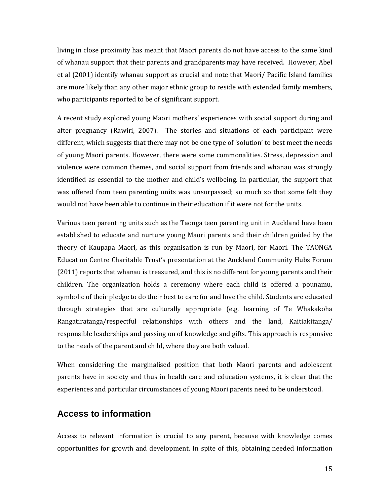living in close proximity has meant that Maori parents do not have access to the same kind of whanau support that their parents and grandparents may have received. However, Abel et al (2001) identify whanau support as crucial and note that Maori/ Pacific Island families are more likely than any other major ethnic group to reside with extended family members, who participants reported to be of significant support.

A recent study explored young Maori mothers' experiences with social support during and after pregnancy (Rawiri, 2007). The stories and situations of each participant were different, which suggests that there may not be one type of 'solution' to best meet the needs of young Maori parents. However, there were some commonalities. Stress, depression and violence were common themes, and social support from friends and whanau was strongly identified as essential to the mother and child's wellbeing. In particular, the support that was offered from teen parenting units was unsurpassed; so much so that some felt they would not have been able to continue in their education if it were not for the units.

Various teen parenting units such as the Taonga teen parenting unit in Auckland have been established to educate and nurture young Maori parents and their children guided by the theory of Kaupapa Maori, as this organisation is run by Maori, for Maori. The TAONGA Education Centre Charitable Trust's presentation at the Auckland Community Hubs Forum (2011) reports that whanau is treasured, and this is no different for young parents and their children. The organization holds a ceremony where each child is offered a pounamu, symbolic of their pledge to do their best to care for and love the child. Students are educated through strategies that are culturally appropriate (e.g. learning of Te Whakakoha Rangatiratanga/respectful relationships with others and the land, Kaitiakitanga/ responsible leaderships and passing on of knowledge and gifts. This approach is responsive to the needs of the parent and child, where they are both valued.

When considering the marginalised position that both Maori parents and adolescent parents have in society and thus in health care and education systems, it is clear that the experiences and particular circumstances of young Maori parents need to be understood.

#### <span id="page-17-0"></span>**Access to information**

Access to relevant information is crucial to any parent, because with knowledge comes opportunities for growth and development. In spite of this, obtaining needed information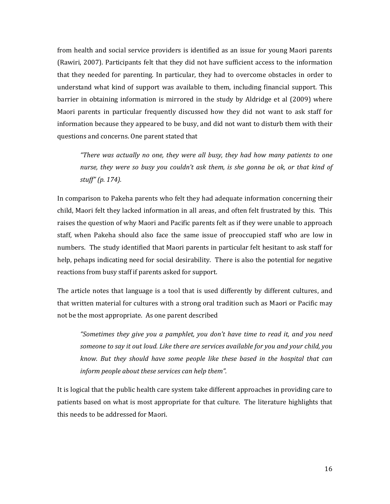from health and social service providers is identified as an issue for young Maori parents (Rawiri, 2007). Participants felt that they did not have sufficient access to the information that they needed for parenting. In particular, they had to overcome obstacles in order to understand what kind of support was available to them, including financial support. This barrier in obtaining information is mirrored in the study by Aldridge et al (2009) where Maori parents in particular frequently discussed how they did not want to ask staff for information because they appeared to be busy, and did not want to disturb them with their questions and concerns. One parent stated that

*"There was actually no one, they were all busy, they had how many patients to one nurse, they were so busy you couldn't ask them, is she gonna be ok, or that kind of stuff" (p. 174).* 

In comparison to Pakeha parents who felt they had adequate information concerning their child, Maori felt they lacked information in all areas, and often felt frustrated by this. This raises the question of why Maori and Pacific parents felt as if they were unable to approach staff, when Pakeha should also face the same issue of preoccupied staff who are low in numbers. The study identified that Maori parents in particular felt hesitant to ask staff for help, pehaps indicating need for social desirability. There is also the potential for negative reactions from busy staff if parents asked for support.

The article notes that language is a tool that is used differently by different cultures, and that written material for cultures with a strong oral tradition such as Maori or Pacific may not be the most appropriate. As one parent described

*"Sometimes they give you a pamphlet, you don't have time to read it, and you need someone to say it out loud. Like there are services available for you and your child, you know. But they should have some people like these based in the hospital that can inform people about these services can help them".*

It is logical that the public health care system take different approaches in providing care to patients based on what is most appropriate for that culture. The literature highlights that this needs to be addressed for Maori.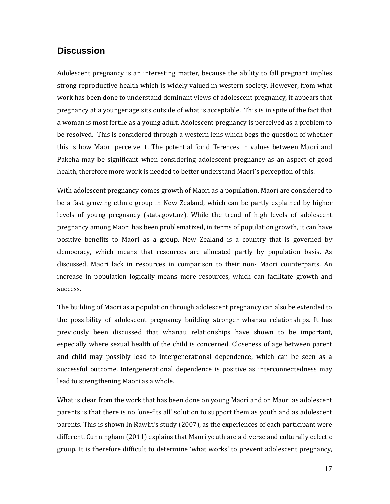# <span id="page-19-0"></span>**Discussion**

Adolescent pregnancy is an interesting matter, because the ability to fall pregnant implies strong reproductive health which is widely valued in western society. However, from what work has been done to understand dominant views of adolescent pregnancy, it appears that pregnancy at a younger age sits outside of what is acceptable. This is in spite of the fact that a woman is most fertile as a young adult. Adolescent pregnancy is perceived as a problem to be resolved. This is considered through a western lens which begs the question of whether this is how Maori perceive it. The potential for differences in values between Maori and Pakeha may be significant when considering adolescent pregnancy as an aspect of good health, therefore more work is needed to better understand Maori's perception of this.

With adolescent pregnancy comes growth of Maori as a population. Maori are considered to be a fast growing ethnic group in New Zealand, which can be partly explained by higher levels of young pregnancy (stats.govt.nz). While the trend of high levels of adolescent pregnancy among Maori has been problematized, in terms of population growth, it can have positive benefits to Maori as a group. New Zealand is a country that is governed by democracy, which means that resources are allocated partly by population basis. As discussed, Maori lack in resources in comparison to their non- Maori counterparts. An increase in population logically means more resources, which can facilitate growth and success.

The building of Maori as a population through adolescent pregnancy can also be extended to the possibility of adolescent pregnancy building stronger whanau relationships. It has previously been discussed that whanau relationships have shown to be important, especially where sexual health of the child is concerned. Closeness of age between parent and child may possibly lead to intergenerational dependence, which can be seen as a successful outcome. Intergenerational dependence is positive as interconnectedness may lead to strengthening Maori as a whole.

What is clear from the work that has been done on young Maori and on Maori as adolescent parents is that there is no 'one-fits all' solution to support them as youth and as adolescent parents. This is shown In Rawiri's study (2007), as the experiences of each participant were different. Cunningham (2011) explains that Maori youth are a diverse and culturally eclectic group. It is therefore difficult to determine 'what works' to prevent adolescent pregnancy,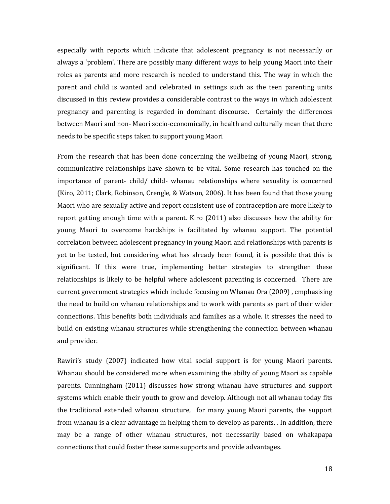especially with reports which indicate that adolescent pregnancy is not necessarily or always a 'problem'. There are possibly many different ways to help young Maori into their roles as parents and more research is needed to understand this. The way in which the parent and child is wanted and celebrated in settings such as the teen parenting units discussed in this review provides a considerable contrast to the ways in which adolescent pregnancy and parenting is regarded in dominant discourse. Certainly the differences between Maori and non- Maori socio-economically, in health and culturally mean that there needs to be specific steps taken to support young Maori

From the research that has been done concerning the wellbeing of young Maori, strong, communicative relationships have shown to be vital. Some research has touched on the importance of parent- child/ child- whanau relationships where sexuality is concerned (Kiro, 2011; Clark, Robinson, Crengle, & Watson, 2006). It has been found that those young Maori who are sexually active and report consistent use of contraception are more likely to report getting enough time with a parent. Kiro (2011) also discusses how the ability for young Maori to overcome hardships is facilitated by whanau support. The potential correlation between adolescent pregnancy in young Maori and relationships with parents is yet to be tested, but considering what has already been found, it is possible that this is significant. If this were true, implementing better strategies to strengthen these relationships is likely to be helpful where adolescent parenting is concerned. There are current government strategies which include focusing on Whanau Ora (2009) , emphasising the need to build on whanau relationships and to work with parents as part of their wider connections. This benefits both individuals and families as a whole. It stresses the need to build on existing whanau structures while strengthening the connection between whanau and provider.

Rawiri's study (2007) indicated how vital social support is for young Maori parents. Whanau should be considered more when examining the abilty of young Maori as capable parents. Cunningham (2011) discusses how strong whanau have structures and support systems which enable their youth to grow and develop. Although not all whanau today fits the traditional extended whanau structure, for many young Maori parents, the support from whanau is a clear advantage in helping them to develop as parents. . In addition, there may be a range of other whanau structures, not necessarily based on whakapapa connections that could foster these same supports and provide advantages.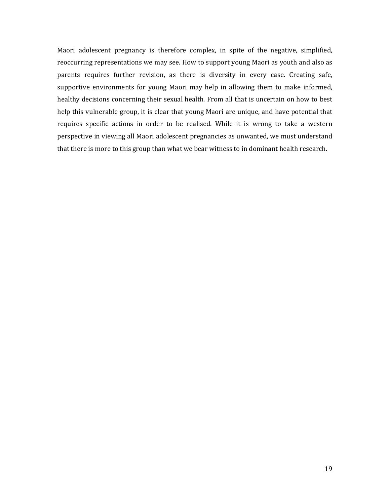Maori adolescent pregnancy is therefore complex, in spite of the negative, simplified, reoccurring representations we may see. How to support young Maori as youth and also as parents requires further revision, as there is diversity in every case. Creating safe, supportive environments for young Maori may help in allowing them to make informed, healthy decisions concerning their sexual health. From all that is uncertain on how to best help this vulnerable group, it is clear that young Maori are unique, and have potential that requires specific actions in order to be realised. While it is wrong to take a western perspective in viewing all Maori adolescent pregnancies as unwanted, we must understand that there is more to this group than what we bear witness to in dominant health research.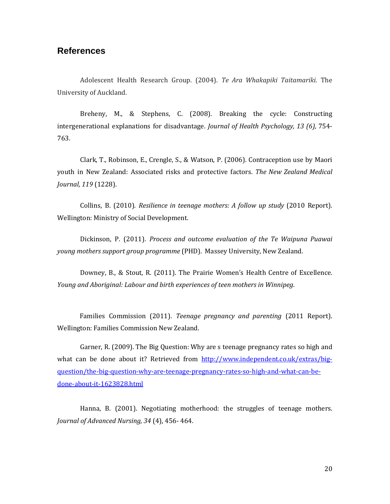#### <span id="page-22-0"></span>**References**

Adolescent Health Research Group. (2004). *Te Ara Whakapiki Taitamariki.* The University of Auckland.

Breheny, M., & Stephens, C. (2008). Breaking the cycle: Constructing intergenerational explanations for disadvantage. *Journal of Health Psychology, 13 (6),* 754- 763.

Clark, T., Robinson, E., Crengle, S., & Watson, P. (2006). Contraception use by Maori youth in New Zealand: Associated risks and protective factors. *The New Zealand Medical Journal, 119* (1228).

Collins, B. (2010). *Resilience in teenage mothers: A follow up study* (2010 Report). Wellington: Ministry of Social Development.

Dickinson, P. (2011). *Process and outcome evaluation of the Te Waipuna Puawai young mothers support group programme* (PHD). Massey University, New Zealand.

Downey, B., & Stout, R. (2011). The Prairie Women's Health Centre of Excellence. *Young and Aboriginal: Labour and birth experiences of teen mothers in Winnipeg*.

Families Commission (2011). *Teenage pregnancy and parenting* (2011 Report). Wellington: Families Commission New Zealand.

Garner, R. (2009). The Big Question: Why are s teenage pregnancy rates so high and what can be done about it? Retrieved from [http://www.independent.co.uk/extras/big](http://www.independent.co.uk/extras/big-question/the-big-question-why-are-teenage-pregnancy-rates-so-high-and-what-can-be-done-about-it-1623828.html)[question/the-big-question-why-are-teenage-pregnancy-rates-so-high-and-what-can-be](http://www.independent.co.uk/extras/big-question/the-big-question-why-are-teenage-pregnancy-rates-so-high-and-what-can-be-done-about-it-1623828.html)[done-about-it-1623828.html](http://www.independent.co.uk/extras/big-question/the-big-question-why-are-teenage-pregnancy-rates-so-high-and-what-can-be-done-about-it-1623828.html)

Hanna, B. (2001). Negotiating motherhood: the struggles of teenage mothers. *Journal of Advanced Nursing, 34* (4), 456- 464.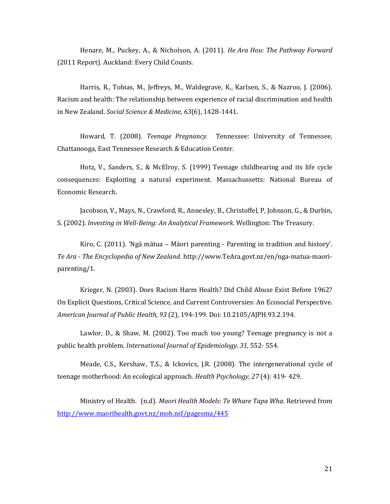Henare, M., Puckey, A., & Nicholson, A. (2011). *He Ara Hou: The Pathway Forward* (2011 Report). Auckland: Every Child Counts.

Harris, R., Tobias, M., Jeffreys, M., Waldegrave, K., Karlsen, S., & Nazroo, J. (2006). Racism and health: The relationship between experience of racial discrimination and health in New Zealand. *Social Science & Medicine, 63*(6), 1428-1441.

Howard, T. (2008). *Teenage Pregnancy.* Tennessee: University of Tennessee, Chattanooga, East Tennessee Research & Education Center.

Hotz, V., Sanders, S., & McElroy, S. (1999) Teenage childbearing and its life cycle consequences: Exploiting a natural experiment. Massachussetts: National Bureau of Economic Research.

Jacobson, V., Mays, N., Crawford, R., Annesley, B., Christoffel, P, Johnson, G., & Durbin, S. (2002). *Investing in Well-Being: An Analytical Framework.* Wellington: The Treasury.

Kiro, C. (2011). 'Ngā mātua – Māori parenting - Parenting in tradition and history'. *Te Ara - The Encyclopedia of New Zealand*. http://www.TeAra.govt.nz/en/nga-matua-maoriparenting/1.

Krieger, N. (2003). Does Racism Harm Health? Did Child Abuse Exist Before 1962? On Explicit Questions, Critical Science, and Current Controversies: An Ecosocial Perspective. *American Journal of Public Health, 93* (2), 194-199. Doi: 10.2105/AJPH.93.2.194.

Lawlor, D., & Shaw, M. (2002). Too much too young? Teenage pregnancy is not a public health problem. *International Journal of Epidemiology, 31,* 552- 554.

Meade, C.S., Kershaw, T.S., & Ickovics, J.R. (2008). The intergenerational cycle of teenage motherhood: An ecological approach. *Health Psychology, 27* (4): 419- 429.

Ministry of Health. (n.d). *Maori Health Models: Te Whare Tapa Wha*. Retrieved from <http://www.maorihealth.govt.nz/moh.nsf/pagesma/445>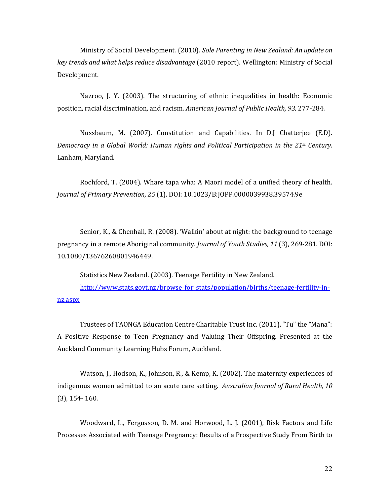Ministry of Social Development. (2010). *Sole Parenting in New Zealand: An update on key trends and what helps reduce disadvantage* (2010 report). Wellington: Ministry of Social Development.

Nazroo, J. Y. (2003). The structuring of ethnic inequalities in health: Economic position, racial discrimination, and racism. *American Journal of Public Health, 93,* 277-284.

Nussbaum, M. (2007). Constitution and Capabilities. In D.J Chatterjee (E.D). *Democracy in a Global World: Human rights and Political Participation in the 21st Century.* Lanham, Maryland.

Rochford, T. (2004). Whare tapa wha: A Maori model of a unified theory of health. *Journal of Primary Prevention, 25* (1). DOI: 10.1023/B:JOPP.0000039938.39574.9e

Senior, K., & Chenhall, R. (2008). 'Walkin' about at night: the background to teenage pregnancy in a remote Aboriginal community. *Journal of Youth Studies, 11* (3), 269-281. DOI: 10.1080/13676260801946449.

Statistics New Zealand. (2003). Teenage Fertility in New Zealand.

[http://www.stats.govt.nz/browse\\_for\\_stats/population/births/teenage-fertility-in](http://www.stats.govt.nz/browse_for_stats/population/births/teenage-fertility-in-nz.aspx)[nz.aspx](http://www.stats.govt.nz/browse_for_stats/population/births/teenage-fertility-in-nz.aspx)

Trustees of TAONGA Education Centre Charitable Trust Inc. (2011). "Tu" the "Mana": A Positive Response to Teen Pregnancy and Valuing Their Offspring. Presented at the Auckland Community Learning Hubs Forum, Auckland.

Watson, J., Hodson, K., Johnson, R., & Kemp, K. (2002). The maternity experiences of indigenous women admitted to an acute care setting. *Australian Journal of Rural Health, 10*  (3), 154- 160.

Woodward, L., Fergusson, D. M. and Horwood, L. J. (2001), Risk Factors and Life Processes Associated with Teenage Pregnancy: Results of a Prospective Study From Birth to